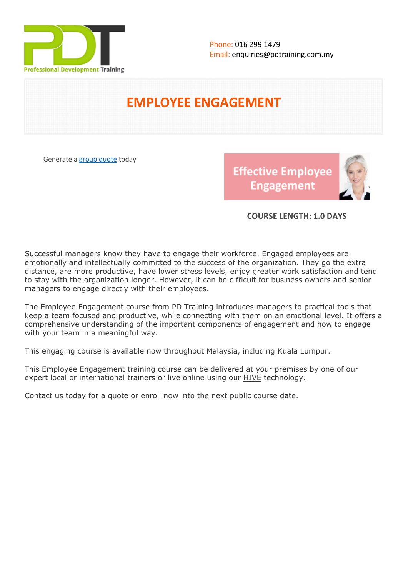

# **EMPLOYEE ENGAGEMENT**

Generate a [group quote](https://pdtraining.com.my/inhouse-training-quote?cse=PDT062) today

**Effective Employee Engagement** 



## **COURSE LENGTH: 1.0 DAYS**

Successful managers know they have to engage their workforce. Engaged employees are emotionally and intellectually committed to the success of the organization. They go the extra distance, are more productive, have lower stress levels, enjoy greater work satisfaction and tend to stay with the organization longer. However, it can be difficult for business owners and senior managers to engage directly with their employees.

The Employee Engagement course from PD Training introduces managers to practical tools that keep a team focused and productive, while connecting with them on an emotional level. It offers a comprehensive understanding of the important components of engagement and how to engage with your team in a meaningful way.

This engaging course is available now throughout Malaysia, including Kuala Lumpur.

This Employee Engagement training course can be delivered at your premises by one of our expert local or international trainers or live online using our **HIVE** technology.

Contact us today for a quote or enroll now into the next public course date.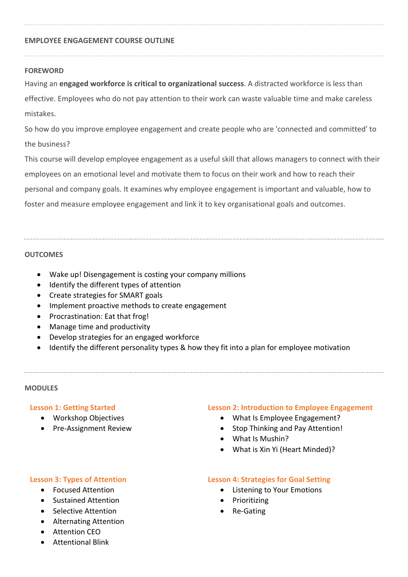## **EMPLOYEE ENGAGEMENT COURSE OUTLINE**

#### **FOREWORD**

Having an **engaged workforce is critical to organizational success**. A distracted workforce is less than effective. Employees who do not pay attention to their work can waste valuable time and make careless mistakes.

So how do you improve employee engagement and create people who are 'connected and committed' to the business?

This course will develop employee engagement as a useful skill that allows managers to connect with their employees on an emotional level and motivate them to focus on their work and how to reach their personal and company goals. It examines why employee engagement is important and valuable, how to foster and measure employee engagement and link it to key organisational goals and outcomes.

## **OUTCOMES**

- Wake up! Disengagement is costing your company millions
- Identify the different types of attention
- Create strategies for SMART goals
- Implement proactive methods to create engagement
- Procrastination: Eat that frog!
- Manage time and productivity
- Develop strategies for an engaged workforce
- Identify the different personality types & how they fit into a plan for employee motivation

#### **MODULES**

## **Lesson 1: Getting Started**

- Workshop Objectives
- Pre-Assignment Review

## **Lesson 2: Introduction to Employee Engagement**

- What Is Employee Engagement?
- Stop Thinking and Pay Attention!
- What Is Mushin?
- What is Xin Yi (Heart Minded)?

#### **Lesson 3: Types of Attention**

- Focused Attention
- Sustained Attention
- Selective Attention
- Alternating Attention
- Attention CEO

## Attentional Blink

## **Lesson 4: Strategies for Goal Setting**

- Listening to Your Emotions
- Prioritizing
- Re-Gating